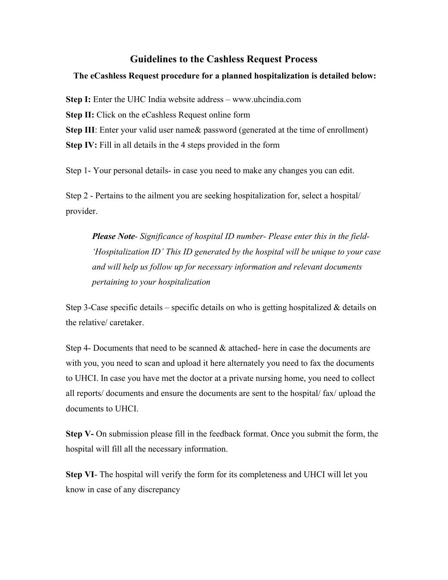## **Guidelines to the Cashless Request Process**

## **The eCashless Request procedure for a planned hospitalization is detailed below:**

**Step I:** Enter the UHC India website address – www.uhcindia.com **Step II:** Click on the eCashless Request online form **Step III**: Enter your valid user name & password (generated at the time of enrollment) **Step IV:** Fill in all details in the 4 steps provided in the form

Step 1- Your personal details- in case you need to make any changes you can edit.

Step 2 - Pertains to the ailment you are seeking hospitalization for, select a hospital/ provider.

*Please Note- Significance of hospital ID number- Please enter this in the field- 'Hospitalization ID' This ID generated by the hospital will be unique to your case and will help us follow up for necessary information and relevant documents pertaining to your hospitalization* 

Step 3-Case specific details – specific details on who is getting hospitalized  $\&$  details on the relative/ caretaker.

Step 4- Documents that need to be scanned & attached- here in case the documents are with you, you need to scan and upload it here alternately you need to fax the documents to UHCI. In case you have met the doctor at a private nursing home, you need to collect all reports/ documents and ensure the documents are sent to the hospital/ fax/ upload the documents to UHCI.

**Step V-** On submission please fill in the feedback format. Once you submit the form, the hospital will fill all the necessary information.

**Step VI**- The hospital will verify the form for its completeness and UHCI will let you know in case of any discrepancy